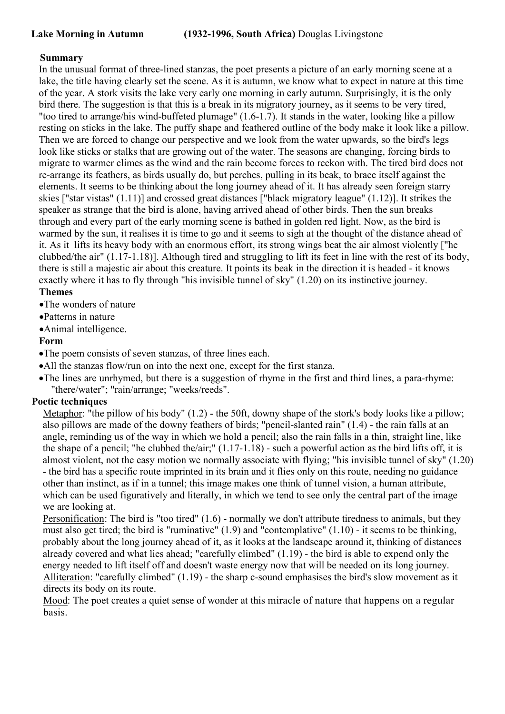## **Summary**

In the unusual format of three-lined stanzas, the poet presents a picture of an early morning scene at a lake, the title having clearly set the scene. As it is autumn, we know what to expect in nature at this time of the year. A stork visits the lake very early one morning in early autumn. Surprisingly, it is the only bird there. The suggestion is that this is a break in its migratory journey, as it seems to be very tired, "too tired to arrange/his wind-buffeted plumage" (1.6-1.7). It stands in the water, looking like a pillow resting on sticks in the lake. The puffy shape and feathered outline of the body make it look like a pillow. Then we are forced to change our perspective and we look from the water upwards, so the bird's legs look like sticks or stalks that are growing out of the water. The seasons are changing, forcing birds to migrate to warmer climes as the wind and the rain become forces to reckon with. The tired bird does not re-arrange its feathers, as birds usually do, but perches, pulling in its beak, to brace itself against the elements. It seems to be thinking about the long journey ahead of it.It has already seen foreign starry skies ["star vistas" (1.11)] and crossed great distances ["black migratory league" (1.12)]. It strikes the speaker as strange that the bird is alone, having arrived ahead of other birds. Then the sun breaks through and every part of the early morning scene is bathed in golden red light. Now, as the bird is warmed by the sun, it realises it is time to go and it seems to sigh at the thought of the distance ahead of it. As it lifts its heavy body with an enormous effort, its strong wings beat the air almost violently ["he clubbed/the air" (1.17-1.18)]. Although tired and struggling to lift its feet in line with the rest of its body, there is still a majestic air about this creature. It points its beak in the direction it is headed - it knows exactly where it has to fly through "his invisible tunnel of sky" (1.20) on its instinctive journey. **Themes**

•The wonders of nature

Patterns in nature

Animal intelligence.

## **Form**

The poem consists of seven stanzas, of three lines each.

- All the stanzas flow/run on into the next one, except for the first stanza.
- The lines are unrhymed, but there is a suggestion of rhyme in the first and third lines, a para-rhyme: "there/water"; "rain/arrange; "weeks/reeds".

## **Poetic techniques**

Metaphor: "the pillow of his body" (1.2) - the 50ft, downy shape of the stork's body looks like a pillow; also pillows are made of the downy feathers of birds; "pencil-slanted rain"  $(1.4)$  - the rain falls at an angle, reminding us of the way in which we hold a pencil; also the rain falls in a thin, straight line, like the shape of a pencil; "he clubbed the/air;" (1.17-1.18) - such a powerful action as the bird lifts off, it is almost violent, not the easy motion we normally associate with flying; "his invisible tunnel of sky" (1.20) - the bird has a specific route imprinted in its brain and it flies only on this route, needing no guidance other than instinct, as if in a tunnel; this image makes one think of tunnel vision, a human attribute, which can be used figuratively and literally, in which we tend to see only the central part of the image we are looking at.

Personification: The bird is "too tired" (1.6) - normally we don't attribute tiredness to animals, but they must also get tired; the bird is "ruminative" (1.9) and "contemplative" (1.10) - it seems to be thinking, probably about the long journey ahead of it, as it looks at the landscape around it, thinking of distances already covered and what lies ahead; "carefully climbed" (1.19) - the bird is able to expend only the energy needed to lift itself off and doesn't waste energy now that will be needed on its long journey. Alliteration: "carefully climbed" (1.19) - the sharp c-sound emphasises the bird's slow movement as it directs its body on its route.

Mood: The poet creates a quiet sense of wonder at this miracle of nature that happens on a regular basis.